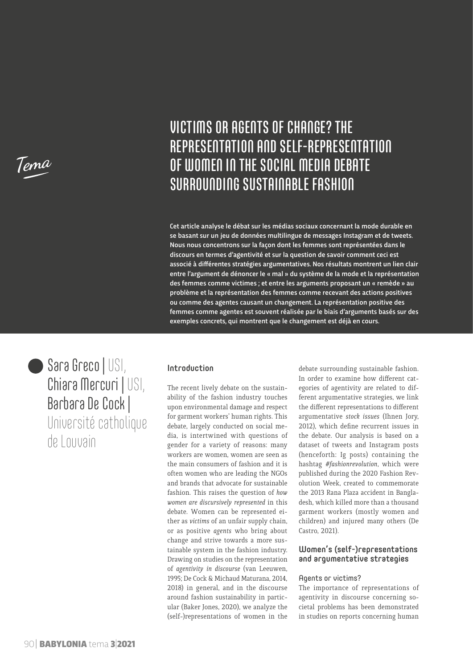**Tema**

# VICTIMS OR AGENTS OF CHANGE? THE REPRESENTATION AND SELF-REPRESENTATION OF WOMEN IN THE SOCIAL MEDIA DEBATE SURROUNDING SUSTAINABLE FASHION

Cet article analyse le débat sur les médias sociaux concernant la mode durable en se basant sur un jeu de données multilingue de messages Instagram et de tweets. Nous nous concentrons sur la façon dont les femmes sont représentées dans le discours en termes d'agentivité et sur la question de savoir comment ceci est associé à différentes stratégies argumentatives. Nos résultats montrent un lien clair entre l'argument de dénoncer le « mal » du système de la mode et la représentation des femmes comme victimes ; et entre les arguments proposant un « remède » au problème et la représentation des femmes comme recevant des actions positives ou comme des agentes causant un changement. La représentation positive des femmes comme agentes est souvent réalisée par le biais d'arguments basés sur des exemples concrets, qui montrent que le changement est déjà en cours.

Sara Greco | USI, Chiara Mercuri | USI, Barbara De Cock | Université catholique de Louvain

#### Introduction

The recent lively debate on the sustainability of the fashion industry touches upon environmental damage and respect for garment workers' human rights. This debate, largely conducted on social media, is intertwined with questions of gender for a variety of reasons: many workers are women, women are seen as the main consumers of fashion and it is often women who are leading the NGOs and brands that advocate for sustainable fashion. This raises the question of *how women are discursively represented* in this debate. Women can be represented either as *victims* of an unfair supply chain, or as positive *agents* who bring about change and strive towards a more sustainable system in the fashion industry. Drawing on studies on the representation of *agentivity in discourse* (van Leeuwen, 1995; De Cock & Michaud Maturana, 2014, 2018) in general, and in the discourse around fashion sustainability in particular (Baker Jones, 2020), we analyze the (self-)representations of women in the

debate surrounding sustainable fashion. In order to examine how different categories of agentivity are related to different argumentative strategies, we link the different representations to different argumentative *stock issues* (Ihnen Jory, 2012), which define recurrent issues in the debate. Our analysis is based on a dataset of tweets and Instagram posts (henceforth: Ig posts) containing the hashtag *#fashionrevolution*, which were published during the 2020 Fashion Revolution Week, created to commemorate the 2013 Rana Plaza accident in Bangladesh, which killed more than a thousand garment workers (mostly women and children) and injured many others (De Castro, 2021).

### Women's (self-)representations and argumentative strategies

#### Agents or victims?

The importance of representations of agentivity in discourse concerning societal problems has been demonstrated in studies on reports concerning human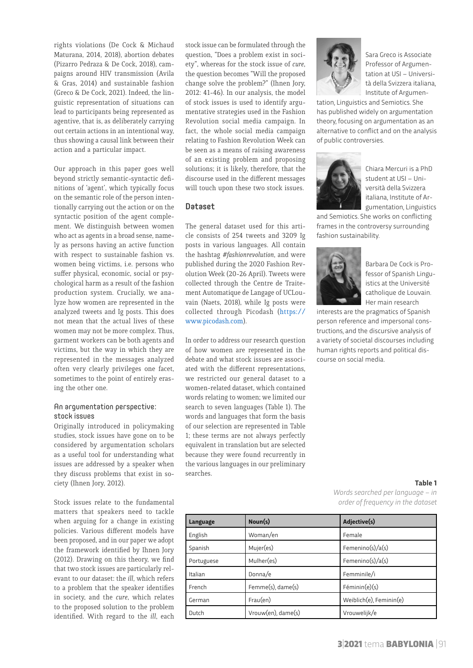rights violations (De Cock & Michaud Maturana, 2014, 2018), abortion debates (Pizarro Pedraza & De Cock, 2018), campaigns around HIV transmission (Avila & Gras, 2014) and sustainable fashion (Greco & De Cock, 2021). Indeed, the linguistic representation of situations can lead to participants being represented as agentive, that is, as deliberately carrying out certain actions in an intentional way, thus showing a causal link between their action and a particular impact.

Our approach in this paper goes well beyond strictly semantic-syntactic definitions of 'agent', which typically focus on the semantic role of the person intentionally carrying out the action or on the syntactic position of the agent complement. We distinguish between women who act as agents in a broad sense, namely as persons having an active function with respect to sustainable fashion vs. women being victims, i.e. persons who suffer physical, economic, social or psychological harm as a result of the fashion production system. Crucially, we analyze how women are represented in the analyzed tweets and Ig posts. This does not mean that the actual lives of these women may not be more complex. Thus, garment workers can be both agents and victims, but the way in which they are represented in the messages analyzed often very clearly privileges one facet, sometimes to the point of entirely erasing the other one.

### An argumentation perspective: stock issues

Originally introduced in policymaking studies, stock issues have gone on to be considered by argumentation scholars as a useful tool for understanding what issues are addressed by a speaker when they discuss problems that exist in society (Ihnen Jory, 2012).

Stock issues relate to the fundamental matters that speakers need to tackle when arguing for a change in existing policies. Various different models have been proposed, and in our paper we adopt the framework identified by Ihnen Jory (2012). Drawing on this theory, we find that two stock issues are particularly relevant to our dataset: the *ill*, which refers to a problem that the speaker identifies in society, and the *cure*, which relates to the proposed solution to the problem identified. With regard to the *ill*, each

stock issue can be formulated through the question, "Does a problem exist in society", whereas for the stock issue of *cure*, the question becomes "Will the proposed change solve the problem?" (Ihnen Jory, 2012: 41-46). In our analysis, the model of stock issues is used to identify argumentative strategies used in the Fashion Revolution social media campaign. In fact, the whole social media campaign relating to Fashion Revolution Week can be seen as a means of raising awareness of an existing problem and proposing solutions; it is likely, therefore, that the discourse used in the different messages will touch upon these two stock issues.

#### Dataset

The general dataset used for this article consists of 254 tweets and 3209 Ig posts in various languages. All contain the hashtag *#fashionrevolution*, and were published during the 2020 Fashion Revolution Week (20-26 April). Tweets were collected through the Centre de Traitement Automatique de Langage of UCLouvain (Naets, 2018), while Ig posts were collected through Picodash [\(https://](https://www.picodash.com) [www.picodash.com](https://www.picodash.com)).

In order to address our research question of how women are represented in the debate and what stock issues are associated with the different representations, we restricted our general dataset to a women-related dataset, which contained words relating to women; we limited our search to seven languages (Table 1). The words and languages that form the basis of our selection are represented in Table 1; these terms are not always perfectly equivalent in translation but are selected because they were found recurrently in the various languages in our preliminary searches.



Sara Greco is Associate Professor of Argumentation at USI – Università della Svizzera italiana, Institute of Argumen-

tation, Linguistics and Semiotics. She has published widely on argumentation theory, focusing on argumentation as an alternative to conflict and on the analysis of public controversies.



Chiara Mercuri is a PhD student at USI – Università della Svizzera italiana, Institute of Argumentation, Linguistics

and Semiotics. She works on conflicting frames in the controversy surrounding fashion sustainability.



Barbara De Cock is Professor of Spanish Linguistics at the Université catholique de Louvain. Her main research

interests are the pragmatics of Spanish person reference and impersonal constructions, and the discursive analysis of a variety of societal discourses including human rights reports and political discourse on social media.

#### **Table 1**

*Words searched per language – in order of frequency in the dataset*

| Language   | Noun(s)            | Adjective(s)            |  |  |  |
|------------|--------------------|-------------------------|--|--|--|
| English    | Woman/en           | Female                  |  |  |  |
| Spanish    | Mujer(es)          | Femenino(s)/a(s)        |  |  |  |
| Portuguese | Mulher(es)         | Femenino(s)/a(s)        |  |  |  |
| Italian    | Donna/e            | Femminile/i             |  |  |  |
| French     | Femme(s), dame(s)  | Féminin(e)(s)           |  |  |  |
| German     | Frau(en)           | Weiblich(e), Feminin(e) |  |  |  |
| Dutch      | Vrouw(en), dame(s) | Vrouwelijk/e            |  |  |  |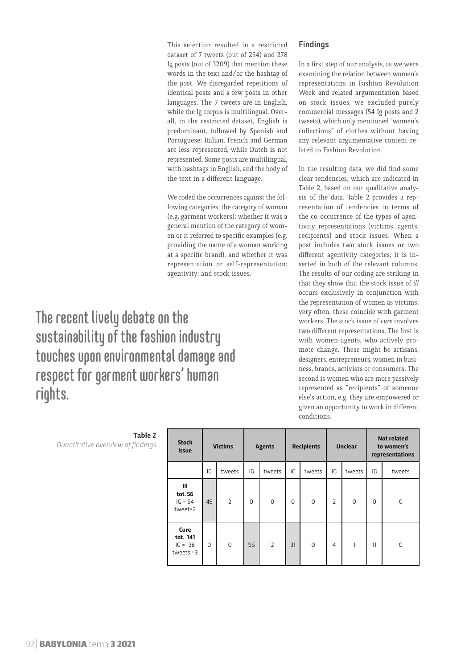This selection resulted in a restricted dataset of 7 tweets (out of 254) and 278 Ig posts (out of 3209) that mention these words in the text and/or the hashtag of the post. We disregarded repetitions of identical posts and a few posts in other languages. The 7 tweets are in English, while the Ig corpus is multilingual. Overall, in the restricted dataset, English is predominant, followed by Spanish and Portuguese; Italian, French and German are less represented, while Dutch is not represented. Some posts are multilingual, with hashtags in English, and the body of the text in a different language.

We coded the occurrences against the following categories: the category of woman (e.g. garment workers); whether it was a general mention of the category of women or it referred to specific examples (e.g. providing the name of a woman working at a specific brand), and whether it was representation or self-representation; agentivity; and stock issues.

The recent lively debate on the sustainability of the fashion industry touches upon environmental damage and respect for garment workers' human rights.

## Findings

In a first step of our analysis, as we were examining the relation between women's representations in Fashion Revolution Week and related argumentation based on stock issues, we excluded purely commercial messages (54 Ig posts and 2 tweets), which only mentioned "women's collections" of clothes without having any relevant argumentative content related to Fashion Revolution.

In the resulting data, we did find some clear tendencies, which are indicated in Table 2, based on our qualitative analysis of the data. Table 2 provides a representation of tendencies in terms of the co-occurrence of the types of agentivity representations (victims, agents, recipients) and stock issues. When a post includes two stock issues or two different agentivity categories, it is inserted in both of the relevant columns. The results of our coding are striking in that they show that the stock issue of *ill* occurs exclusively in conjunction with the representation of women as victims; very often, these coincide with garment workers. The stock issue of *cure* involves two different representations. The first is with women-agents, who actively promote change. These might be artisans, designers, entrepreneurs, women in business, brands, activists or consumers. The second is women who are more passively represented as "recipients" of someone else's action, e.g. they are empowered or given an opportunity to work in different conditions.

| <b>Stock</b><br>issue                             | <b>Victims</b> |                | <b>Agents</b> |                | <b>Recipients</b> |          | <b>Unclear</b> |          | <b>Not related</b><br>to women's<br>representations |          |
|---------------------------------------------------|----------------|----------------|---------------|----------------|-------------------|----------|----------------|----------|-----------------------------------------------------|----------|
|                                                   | IG             | tweets         | IG            | tweets         | IG                | tweets   | IG             | tweets   | IG                                                  | tweets   |
| $\mathbf{III}$<br>tot. 56<br>$IG = 54$<br>tweet=2 | 49             | $\overline{2}$ | $\Omega$      | $\Omega$       | 0                 | $\Omega$ | $\overline{2}$ | $\Omega$ | $\Omega$                                            | 0        |
| Cure<br>tot. 141<br>$IG = 138$<br>tweets $=3$     | 0              | $\Omega$       | 96            | $\overline{2}$ | 31                | $\Omega$ | $\overline{4}$ | 1        | 11                                                  | $\Omega$ |

**Table 2** *Quantitative overview of findings*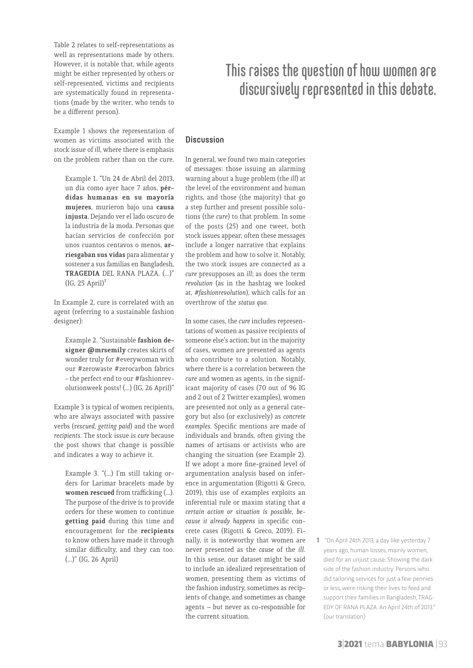Table 2 relates to self-representations as well as representations made by others. However, it is notable that, while agents might be either represented by others or self-represented, victims and recipients are systematically found in representations (made by the writer, who tends to be a different person).

Example 1 shows the representation of women as victims associated with the stock issue of *ill*, where there is emphasis on the problem rather than on the cure.

Example 1. "Un 24 de Abril del 2013, un día como ayer hace 7 años, **pérdidas humanas en su mayoría mujeres**, murieron bajo una **causa injusta**. Dejando ver el lado oscuro de la industria de la moda. Personas que hacían servicios de confección por unos cuantos centavos o menos, **arriesgaban sus vidas** para alimentar y sostener a sus familias en Bangladesh, **TRAGEDIA** DEL RANA PLAZA. (...)"  $(IG, 25 April)<sup>1</sup>$ 

In Example 2, cure is correlated with an agent (referring to a sustainable fashion designer):

Example 2. "Sustainable **fashion designer @mrsemily** creates skirts of wonder truly for #everywoman with our #zerowaste #zerocarbon fabrics - the perfect end to our #fashionrevolutionweek posts! (…) (IG, 26 April)"

Example 3 is typical of women recipients, who are always associated with passive verbs (r*escued, getting paid*) and the word *recipients*. The stock issue is *cure* because the post shows that change is possible and indicates a way to achieve it.

Example 3. "(...) I'm still taking orders for Larimar bracelets made by **women rescued** from trafficking (…). The purpose of the drive is to provide orders for these women to continue **getting paid** during this time and encouragement for the **recipients** to know others have made it through similar difficulty, and they can too. (...)" (IG, 26 April)

## This raises the question of how women are discursively represented in this debate.

#### **Discussion**

In general, we found two main categories of messages: those issuing an alarming warning about a huge problem (the *ill*) at the level of the environment and human rights, and those (the majority) that go a step further and present possible solutions (the *cure*) to that problem. In some of the posts (25) and one tweet, both stock issues appear; often these messages include a longer narrative that explains the problem and how to solve it. Notably, the two stock issues are connected as a *cure* presupposes an *ill*; as does the term *revolution* (as in the hashtag we looked at, *#fashionrevolution*), which calls for an overthrow of the *status quo*.

In some cases, the *cure* includes representations of women as passive recipients of someone else's action; but in the majority of cases, women are presented as agents who contribute to a solution. Notably, where there is a correlation between the *cure* and women as agents, in the significant majority of cases (70 out of 96 IG and 2 out of 2 Twitter examples), women are presented not only as a general category but also (or exclusively) as *concrete examples*. Specific mentions are made of individuals and brands, often giving the names of artisans or activists who are changing the situation (see Example 2). If we adopt a more fine-grained level of argumentation analysis based on inference in argumentation (Rigotti & Greco, 2019), this use of examples exploits an inferential rule or maxim stating that *a certain action or situation is possible, because it already happens* in specific concrete cases (Rigotti & Greco, 2019). Finally, it is noteworthy that women are never presented as the *cause* of the *ill*. In this sense, our dataset might be said to include an idealized representation of women, presenting them as victims of the fashion industry, sometimes as recipients of change, and sometimes as change agents – but never as co-responsible for the current situation.

1 "On April 24th 2013, a day like yesterday 7 years ago, human losses, mainly women, died for an unjust cause. Showing the dark side of the fashion industry. Persons who did tailoring services for just a few pennies or less, were risking their lives to feed and support their families in Bangladesh, TRAG-EDY OF RANA PLAZA. An April 24th of 2013." (our translation)